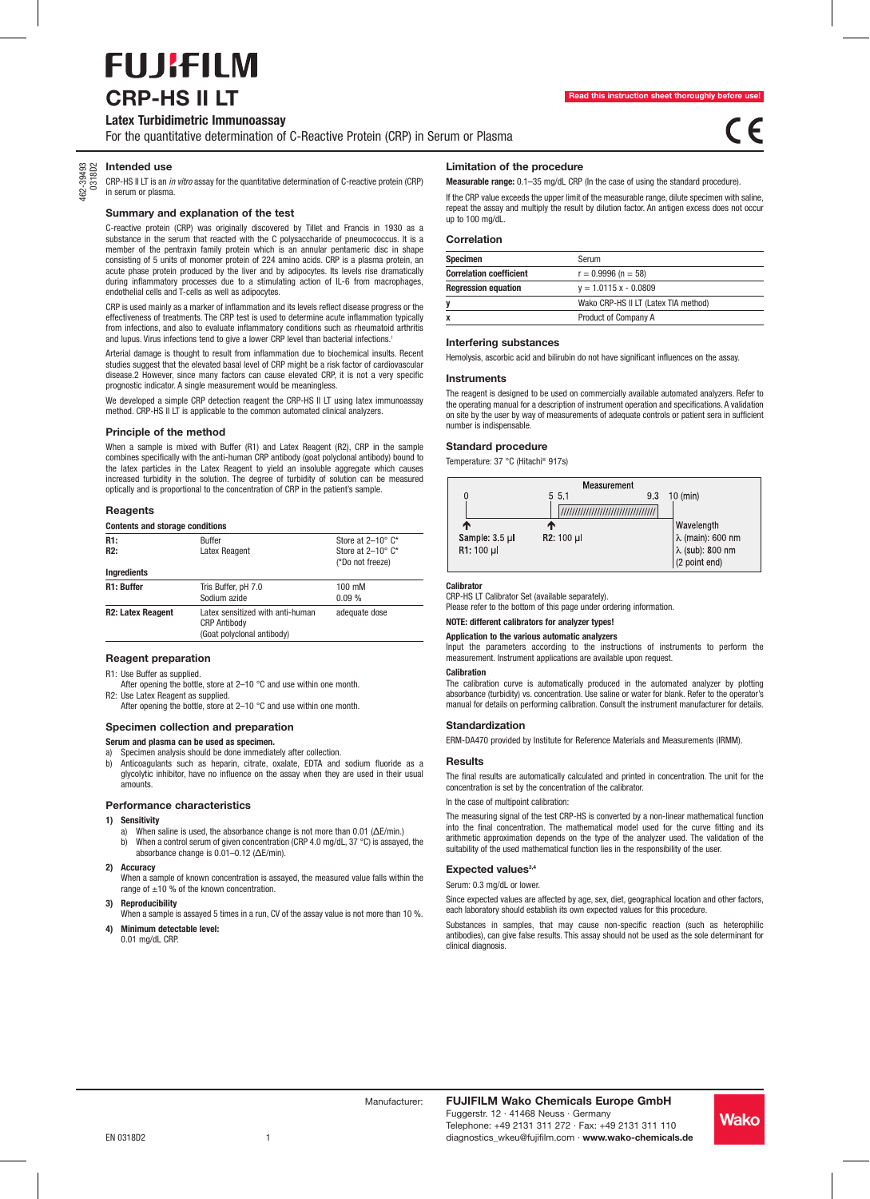# **FUJIFILM CRP-HS II LT**

## **Latex Turbidimetric Immunoassay**

For the quantitative determination of C-Reactive Protein (CRP) in Serum or Plasma

## 462-39493 0318D2 **Intended use**

CRP-HS II LT is an in vitro assay for the quantitative determination of C-reactive protein (CRP) in serum or plasma.

#### **Summary and explanation of the test**

C-reactive protein (CRP) was originally discovered by Tillet and Francis in 1930 as a substance in the serum that reacted with the C polysaccharide of pneumococcus. It is a member of the pentraxin family protein which is an annular pentameric disc in shape consisting of 5 units of monomer protein of 224 amino acids. CRP is a plasma protein, an acute phase protein produced by the liver and by adipocytes. Its levels rise dramatically during inflammatory processes due to a stimulating action of IL-6 from macrophages, endothelial cells and T-cells as well as adipocytes.

CRP is used mainly as a marker of inflammation and its levels reflect disease progress or the effectiveness of treatments. The CRP test is used to determine acute inflammation typically from infections, and also to evaluate inflammatory conditions such as rheumatoid arthritis and lupus. Virus infections tend to give a lower CRP level than bacterial infections.<sup>1</sup>

Arterial damage is thought to result from inflammation due to biochemical insults. Recent studies suggest that the elevated basal level of CRP might be a risk factor of cardiovascular disease.2 However, since many factors can cause elevated CRP, it is not a very specific prognostic indicator. A single measurement would be meaningless.

We developed a simple CRP detection reagent the CRP-HS II LT using latex immunoassay method. CRP-HS II LT is applicable to the common automated clinical analyzers.

#### **Principle of the method**

When a sample is mixed with Buffer (R1) and Latex Reagent (R2), CRP in the sample combines specifically with the anti-human CRP antibody (goat polyclonal antibody) bound to the latex particles in the Latex Reagent to yield an insoluble aggregate which causes increased turbidity in the solution. The degree of turbidity of solution can be measured optically and is proportional to the concentration of CRP in the patient's sample.

#### **Reagents**

| <b>Contents and storage conditions</b> |                                                                                       |                                                                              |
|----------------------------------------|---------------------------------------------------------------------------------------|------------------------------------------------------------------------------|
| R1:<br>R2:                             | <b>Buffer</b><br>Latex Reagent                                                        | Store at $2-10^{\circ}$ C*<br>Store at $2-10^{\circ}$ C*<br>(*Do not freeze) |
| Ingredients                            |                                                                                       |                                                                              |
| R1: Buffer                             | Tris Buffer, pH 7.0<br>Sodium azide                                                   | $100 \text{ mM}$<br>0.09%                                                    |
| <b>R2: Latex Reagent</b>               | Latex sensitized with anti-human<br><b>CRP Antibody</b><br>(Goat polyclonal antibody) | adequate dose                                                                |

## **Reagent preparation**

R1: Use Buffer as supplied.

After opening the bottle, store at 2-10 °C and use within one month. R2: Use Latex Reagent as supplied.

After opening the bottle, store at 2–10 °C and use within one month.

## **Specimen collection and preparation**

**Serum and plasma can be used as specimen.**

Specimen analysis should be done immediately after collection. b) Anticoagulants such as heparin, citrate, oxalate, EDTA and sodium fluoride as a glycolytic inhibitor, have no influence on the assay when they are used in their usual amounts.

#### **Performance characteristics**

## **1) Sensitivity**

- a) When saline is used, the absorbance change is not more than 0.01 (ΔE/min.) b) When a control serum of given concentration (CRP 4.0 mg/dL, 37 °C) is assayed, the absorbance change is 0.01–0.12 (ΔE/min).
- **2) Accuracy**

When a sample of known concentration is assayed, the measured value falls within the range of  $\pm 10$  % of the known concentration.

### **3) Reproducibility**

When a sample is assayed 5 times in a run, CV of the assay value is not more than 10 %. **4) Minimum detectable level:**

0.01 mg/dL CRP.

#### **Limitation of the procedure**

**Measurable range:** 0.1–35 mg/dL CRP (In the case of using the standard procedure).

If the CRP value exceeds the upper limit of the measurable range, dilute specimen with saline, repeat the assay and multiply the result by dilution factor. An antigen excess does not occur up to 100 mg/dL.

## **Correlation**

| Specimen                       | Serum                                |
|--------------------------------|--------------------------------------|
| <b>Correlation coefficient</b> | $r = 0.9996$ (n = 58)                |
| <b>Regression equation</b>     | $v = 1.0115 x - 0.0809$              |
|                                | Wako CRP-HS II LT (Latex TIA method) |
|                                | Product of Company A                 |

#### **Interfering substances**

Hemolysis, ascorbic acid and bilirubin do not have significant influences on the assay.

## **Instruments**

The reagent is designed to be used on commercially available automated analyzers. Refer to the operating manual for a description of instrument operation and specifications. A validation on site by the user by way of measurements of adequate controls or patient sera in sufficient number is indispensable.

#### **Standard procedure**

Temperature: 37 °C (Hitachi® 917s)



## **Calibrator**

CRP-HS LT Calibrator Set (available separately).

Please refer to the bottom of this page under ordering information.

## **NOTE: different calibrators for analyzer types!**

**Application to the various automatic analyzers**

Input the parameters according to the instructions of instruments to perform the measurement. Instrument applications are available upon request.

#### **Calibration**

The calibration curve is automatically produced in the automated analyzer by plotting absorbance (turbidity) vs. concentration. Use saline or water for blank. Refer to the operator's manual for details on performing calibration. Consult the instrument manufacturer for details.

#### **Standardization**

ERM-DA470 provided by Institute for Reference Materials and Measurements (lRMM).

## **Results**

The final results are automatically calculated and printed in concentration. The unit for the concentration is set by the concentration of the calibrator.

## In the case of multipoint calibration:

The measuring signal of the test CRP-HS is converted by a non-linear mathematical function into the final concentration. The mathematical model used for the curve fitting and its arithmetic approximation depends on the type of the analyzer used. The validation of the suitability of the used mathematical function lies in the responsibility of the user.

## Expected values<sup>3,4</sup>

Serum: 0.3 mg/dL or lower.

Since expected values are affected by age, sex, diet, geographical location and other factors, each laboratory should establish its own expected values for this procedure.

Substances in samples, that may cause non-specific reaction (such as heterophilic antibodies), can give false results. This assay should not be used as the sole determinant for clinical diagnosis.